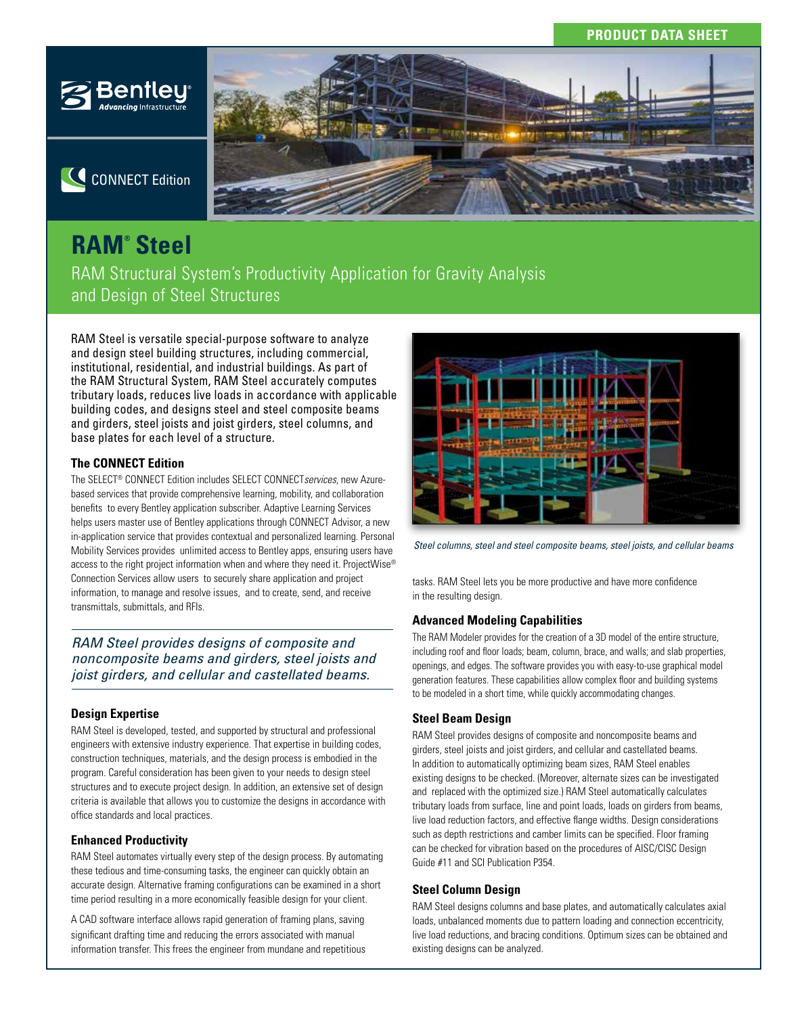### **PRODUCT DATA SHEET**



C CONNECT Edition



# **RAM® Steel**

RAM Structural System's Productivity Application for Gravity Analysis and Design of Steel Structures

RAM Steel is versatile special-purpose software to analyze and design steel building structures, including commercial, institutional, residential, and industrial buildings. As part of the RAM Structural System, RAM Steel accurately computes tributary loads, reduces live loads in accordance with applicable building codes, and designs steel and steel composite beams and girders, steel joists and joist girders, steel columns, and base plates for each level of a structure.

### **The CONNECT Edition**

The SELECT® CONNECT Edition includes SELECT CONNECT*services*, new Azurebased services that provide comprehensive learning, mobility, and collaboration benefits to every Bentley application subscriber. Adaptive Learning Services helps users master use of Bentley applications through CONNECT Advisor, a new in-application service that provides contextual and personalized learning. Personal Mobility Services provides unlimited access to Bentley apps, ensuring users have access to the right project information when and where they need it. ProjectWise® Connection Services allow users to securely share application and project information, to manage and resolve issues, and to create, send, and receive transmittals, submittals, and RFIs.

*RAM Steel provides designs of composite and noncomposite beams and girders, steel joists and joist girders, and cellular and castellated beams.*

### **Design Expertise**

RAM Steel is developed, tested, and supported by structural and professional engineers with extensive industry experience. That expertise in building codes, construction techniques, materials, and the design process is embodied in the program. Careful consideration has been given to your needs to design steel structures and to execute project design. In addition, an extensive set of design criteria is available that allows you to customize the designs in accordance with office standards and local practices.

### **Enhanced Productivity**

RAM Steel automates virtually every step of the design process. By automating these tedious and time-consuming tasks, the engineer can quickly obtain an accurate design. Alternative framing configurations can be examined in a short time period resulting in a more economically feasible design for your client.

A CAD software interface allows rapid generation of framing plans, saving significant drafting time and reducing the errors associated with manual information transfer. This frees the engineer from mundane and repetitious



*Steel columns, steel and steel composite beams, steel joists, and cellular beams*

tasks. RAM Steel lets you be more productive and have more confidence in the resulting design.

### **Advanced Modeling Capabilities**

The RAM Modeler provides for the creation of a 3D model of the entire structure, including roof and floor loads; beam, column, brace, and walls; and slab properties, openings, and edges. The software provides you with easy-to-use graphical model generation features. These capabilities allow complex floor and building systems to be modeled in a short time, while quickly accommodating changes.

### **Steel Beam Design**

RAM Steel provides designs of composite and noncomposite beams and girders, steel joists and joist girders, and cellular and castellated beams. In addition to automatically optimizing beam sizes, RAM Steel enables existing designs to be checked. (Moreover, alternate sizes can be investigated and replaced with the optimized size.) RAM Steel automatically calculates tributary loads from surface, line and point loads, loads on girders from beams, live load reduction factors, and effective flange widths. Design considerations such as depth restrictions and camber limits can be specified. Floor framing can be checked for vibration based on the procedures of AISC/CISC Design Guide #11 and SCI Publication P354.

#### **Steel Column Design**

RAM Steel designs columns and base plates, and automatically calculates axial loads, unbalanced moments due to pattern loading and connection eccentricity, live load reductions, and bracing conditions. Optimum sizes can be obtained and existing designs can be analyzed.